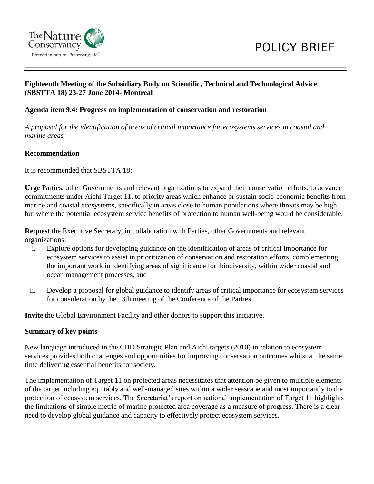

# **Eighteenth Meeting of the Subsidiary Body on Scientific, Technical and Technological Advice (SBSTTA 18) 23-27 June 2014- Montreal**

#### **Agenda item 9.4: Progress on implementation of conservation and restoration**

*A proposal for the identification of areas of critical importance for ecosystems services in coastal and marine areas*

#### **Recommendation**

It is recommended that SBSTTA 18:

**Urge** Parties, other Governments and relevant organizations to expand their conservation efforts, to advance commitments under Aichi Target 11, to priority areas which enhance or sustain socio-economic benefits from marine and coastal ecosystems, specifically in areas close to human populations where threats may be high but where the potential ecosystem service benefits of protection to human well-being would be considerable;

**Request** the Executive Secretary, in collaboration with Parties, other Governments and relevant organizations:

- i. Explore options for developing guidance on the identification of areas of critical importance for ecosystem services to assist in prioritization of conservation and restoration efforts, complementing the important work in identifying areas of significance for biodiversity, within wider coastal and ocean management processes, and
- ii. Develop a proposal for global guidance to identify areas of critical importance for ecosystem services for consideration by the 13th meeting of the Conference of the Parties

**Invite** the Global Environment Facility and other donors to support this initiative.

#### **Summary of key points**

New language introduced in the CBD Strategic Plan and Aichi targets (2010) in relation to ecosystem services provides both challenges and opportunities for improving conservation outcomes whilst at the same time delivering essential benefits for society.

The implementation of Target 11 on protected areas necessitates that attention be given to multiple elements of the target including equitably and well-managed sites within a wider seascape and most importantly to the protection of ecosystem services. The Secretariat's report on national implementation of Target 11 highlights the limitations of simple metric of marine protected area coverage as a measure of progress. There is a clear need to develop global guidance and capacity to effectively protect ecosystem services.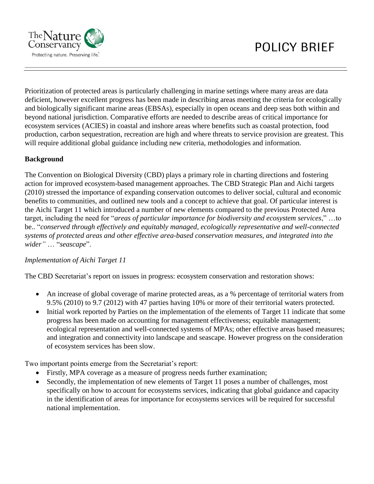

Prioritization of protected areas is particularly challenging in marine settings where many areas are data deficient, however excellent progress has been made in describing areas meeting the criteria for ecologically and biologically significant marine areas (EBSAs), especially in open oceans and deep seas both within and beyond national jurisdiction. Comparative efforts are needed to describe areas of critical importance for ecosystem services (ACIES) in coastal and inshore areas where benefits such as coastal protection, food production, carbon sequestration, recreation are high and where threats to service provision are greatest. This will require additional global guidance including new criteria, methodologies and information.

# **Background**

The Convention on Biological Diversity (CBD) plays a primary role in charting directions and fostering action for improved ecosystem-based management approaches. The CBD Strategic Plan and Aichi targets (2010) stressed the importance of expanding conservation outcomes to deliver social, cultural and economic benefits to communities, and outlined new tools and a concept to achieve that goal. Of particular interest is the Aichi Target 11 which introduced a number of new elements compared to the previous Protected Area target, including the need for "*areas of particular importance for biodiversity and ecosystem services*," …to be.. "*conserved through effectively and equitably managed, ecologically representative and well-connected systems of protected areas and other effective area-based conservation measures, and integrated into the wider"* … "*seascape*".

# *Implementation of Aichi Target 11*

The CBD Secretariat's report on issues in progress: ecosystem conservation and restoration shows:

- An increase of global coverage of marine protected areas, as a % percentage of territorial waters from 9.5% (2010) to 9.7 (2012) with 47 parties having 10% or more of their territorial waters protected.
- Initial work reported by Parties on the implementation of the elements of Target 11 indicate that some progress has been made on accounting for management effectiveness; equitable management; ecological representation and well-connected systems of MPAs; other effective areas based measures; and integration and connectivity into landscape and seascape. However progress on the consideration of ecosystem services has been slow.

Two important points emerge from the Secretariat's report:

- Firstly, MPA coverage as a measure of progress needs further examination;
- Secondly, the implementation of new elements of Target 11 poses a number of challenges, most specifically on how to account for ecosystems services, indicating that global guidance and capacity in the identification of areas for importance for ecosystems services will be required for successful national implementation.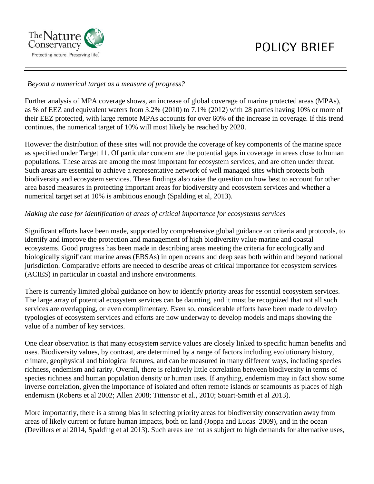

# *Beyond a numerical target as a measure of progress?*

Further analysis of MPA coverage shows, an increase of global coverage of marine protected areas (MPAs), as % of EEZ and equivalent waters from 3.2% (2010) to 7.1% (2012) with 28 parties having 10% or more of their EEZ protected, with large remote MPAs accounts for over 60% of the increase in coverage. If this trend continues, the numerical target of 10% will most likely be reached by 2020.

However the distribution of these sites will not provide the coverage of key components of the marine space as specified under Target 11. Of particular concern are the potential gaps in coverage in areas close to human populations. These areas are among the most important for ecosystem services, and are often under threat. Such areas are essential to achieve a representative network of well managed sites which protects both biodiversity and ecosystem services. These findings also raise the question on how best to account for other area based measures in protecting important areas for biodiversity and ecosystem services and whether a numerical target set at 10% is ambitious enough (Spalding et al, 2013).

# *Making the case for identification of areas of critical importance for ecosystems services*

Significant efforts have been made, supported by comprehensive global guidance on criteria and protocols, to identify and improve the protection and management of high biodiversity value marine and coastal ecosystems. Good progress has been made in describing areas meeting the criteria for ecologically and biologically significant marine areas (EBSAs) in open oceans and deep seas both within and beyond national jurisdiction. Comparative efforts are needed to describe areas of critical importance for ecosystem services (ACIES) in particular in coastal and inshore environments.

There is currently limited global guidance on how to identify priority areas for essential ecosystem services. The large array of potential ecosystem services can be daunting, and it must be recognized that not all such services are overlapping, or even complimentary. Even so, considerable efforts have been made to develop typologies of ecosystem services and efforts are now underway to develop models and maps showing the value of a number of key services.

One clear observation is that many ecosystem service values are closely linked to specific human benefits and uses. Biodiversity values, by contrast, are determined by a range of factors including evolutionary history, climate, geophysical and biological features, and can be measured in many different ways, including species richness, endemism and rarity. Overall, there is relatively little correlation between biodiversity in terms of species richness and human population density or human uses. If anything, endemism may in fact show some inverse correlation, given the importance of isolated and often remote islands or seamounts as places of high endemism (Roberts et al 2002; Allen 2008; Tittensor et al., 2010; Stuart-Smith et al 2013).

More importantly, there is a strong bias in selecting priority areas for biodiversity conservation away from areas of likely current or future human impacts, both on land (Joppa and Lucas 2009), and in the ocean (Devillers et al 2014, Spalding et al 2013). Such areas are not as subject to high demands for alternative uses,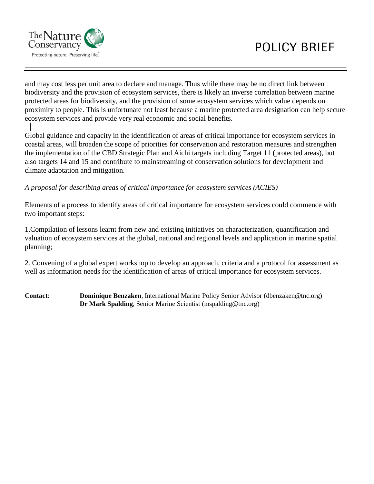

# POLICY BRIEF

and may cost less per unit area to declare and manage. Thus while there may be no direct link between biodiversity and the provision of ecosystem services, there is likely an inverse correlation between marine protected areas for biodiversity, and the provision of some ecosystem services which value depends on proximity to people. This is unfortunate not least because a marine protected area designation can help secure ecosystem services and provide very real economic and social benefits.

Global guidance and capacity in the identification of areas of critical importance for ecosystem services in coastal areas, will broaden the scope of priorities for conservation and restoration measures and strengthen the implementation of the CBD Strategic Plan and Aichi targets including Target 11 (protected areas), but also targets 14 and 15 and contribute to mainstreaming of conservation solutions for development and climate adaptation and mitigation.

# *A proposal for describing areas of critical importance for ecosystem services (ACIES)*

Elements of a process to identify areas of critical importance for ecosystem services could commence with two important steps:

1.Compilation of lessons learnt from new and existing initiatives on characterization, quantification and valuation of ecosystem services at the global, national and regional levels and application in marine spatial planning;

2. Convening of a global expert workshop to develop an approach, criteria and a protocol for assessment as well as information needs for the identification of areas of critical importance for ecosystem services.

**Contact**: **Dominique Benzaken**, International Marine Policy Senior Advisor (dbenzaken@tnc.org) **Dr Mark Spalding**, Senior Marine Scientist (mspalding@tnc.org)